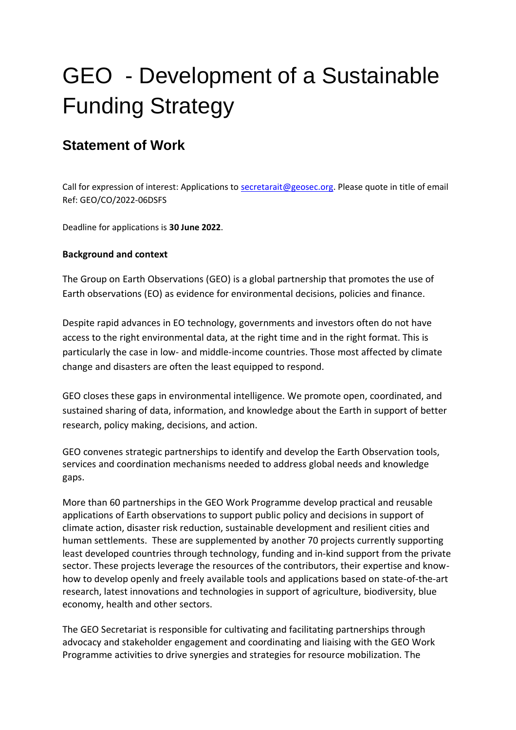# GEO - Development of a Sustainable Funding Strategy

## **Statement of Work**

Call for expression of interest: Applications to [secretarait@geosec.org.](mailto:secretarait@geosec.org) Please quote in title of email Ref: GEO/CO/2022-06DSFS

Deadline for applications is **30 June 2022**.

#### **Background and context**

The Group on Earth Observations (GEO) is a global partnership that promotes the use of Earth observations (EO) as evidence for environmental decisions, policies and finance.

Despite rapid advances in EO technology, governments and investors often do not have access to the right environmental data, at the right time and in the right format. This is particularly the case in low- and middle-income countries. Those most affected by climate change and disasters are often the least equipped to respond.

GEO closes these gaps in environmental intelligence. We promote open, coordinated, and sustained sharing of data, information, and knowledge about the Earth in support of better research, policy making, decisions, and action.

GEO convenes strategic partnerships to identify and develop the Earth Observation tools, services and coordination mechanisms needed to address global needs and knowledge gaps.

More than 60 partnerships in the GEO Work Programme develop practical and reusable applications of Earth observations to support public policy and decisions in support of climate action, disaster risk reduction, sustainable development and resilient cities and human settlements. These are supplemented by another 70 projects currently supporting least developed countries through technology, funding and in-kind support from the private sector. These projects leverage the resources of the contributors, their expertise and knowhow to develop openly and freely available tools and applications based on state-of-the-art research, latest innovations and technologies in support of agriculture, biodiversity, blue economy, health and other sectors.

The GEO Secretariat is responsible for cultivating and facilitating partnerships through advocacy and stakeholder engagement and coordinating and liaising with the GEO Work Programme activities to drive synergies and strategies for resource mobilization. The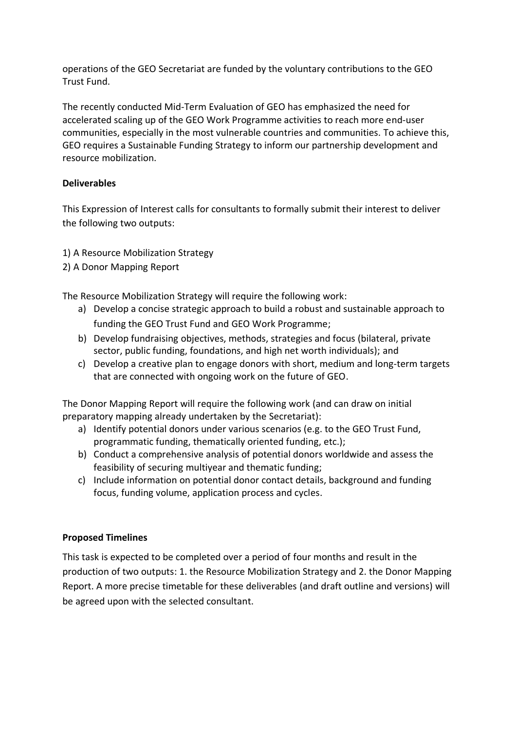operations of the GEO Secretariat are funded by the voluntary contributions to the GEO Trust Fund.

The recently conducted Mid-Term Evaluation of GEO has emphasized the need for accelerated scaling up of the GEO Work Programme activities to reach more end-user communities, especially in the most vulnerable countries and communities. To achieve this, GEO requires a Sustainable Funding Strategy to inform our partnership development and resource mobilization.

#### **Deliverables**

This Expression of Interest calls for consultants to formally submit their interest to deliver the following two outputs:

- 1) A Resource Mobilization Strategy
- 2) A Donor Mapping Report

The Resource Mobilization Strategy will require the following work:

- a) Develop a concise strategic approach to build a robust and sustainable approach to funding the GEO Trust Fund and GEO Work Programme;
- b) Develop fundraising objectives, methods, strategies and focus (bilateral, private sector, public funding, foundations, and high net worth individuals); and
- c) Develop a creative plan to engage donors with short, medium and long-term targets that are connected with ongoing work on the future of GEO.

The Donor Mapping Report will require the following work (and can draw on initial preparatory mapping already undertaken by the Secretariat):

- a) Identify potential donors under various scenarios (e.g. to the GEO Trust Fund, programmatic funding, thematically oriented funding, etc.);
- b) Conduct a comprehensive analysis of potential donors worldwide and assess the feasibility of securing multiyear and thematic funding;
- c) Include information on potential donor contact details, background and funding focus, funding volume, application process and cycles.

#### **Proposed Timelines**

This task is expected to be completed over a period of four months and result in the production of two outputs: 1. the Resource Mobilization Strategy and 2. the Donor Mapping Report. A more precise timetable for these deliverables (and draft outline and versions) will be agreed upon with the selected consultant.